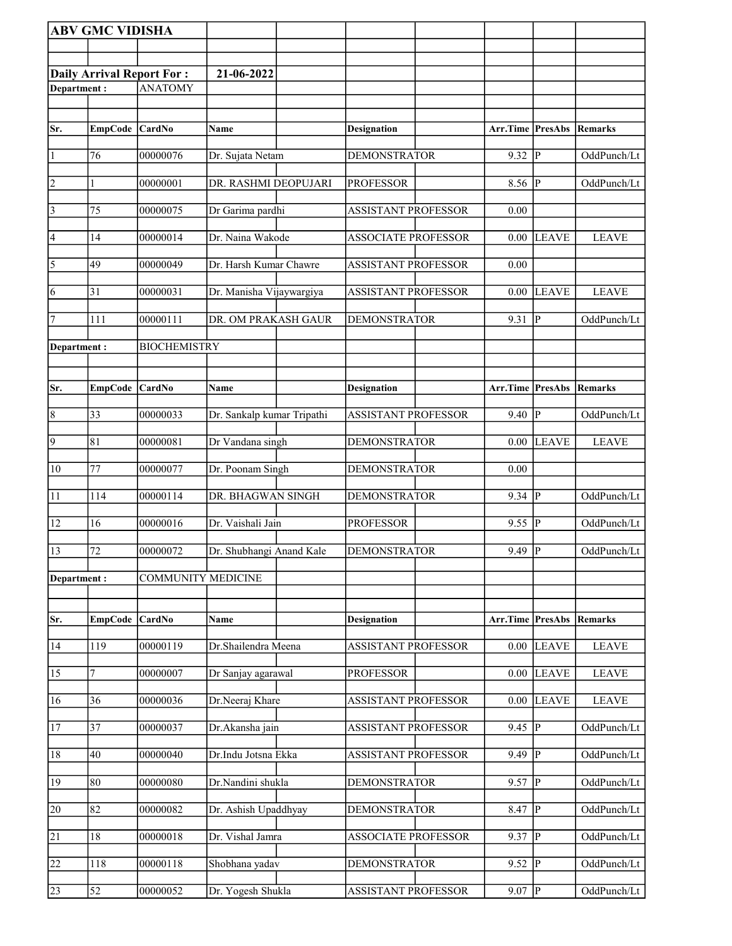|                 | <b>ABV GMC VIDISHA</b> |                           |                            |                    |                     |                            |                  |                         |              |
|-----------------|------------------------|---------------------------|----------------------------|--------------------|---------------------|----------------------------|------------------|-------------------------|--------------|
|                 |                        |                           |                            |                    |                     |                            |                  |                         |              |
|                 |                        | Daily Arrival Report For: | 21-06-2022                 |                    |                     |                            |                  |                         |              |
| Department:     |                        | <b>ANATOMY</b>            |                            |                    |                     |                            |                  |                         |              |
|                 |                        |                           |                            |                    |                     |                            |                  |                         |              |
| Sr.             | EmpCode CardNo         |                           | Name                       | <b>Designation</b> |                     |                            | Arr.Time PresAbs |                         | Remarks      |
|                 |                        |                           |                            |                    |                     |                            |                  |                         |              |
| 1               | 76                     | 00000076                  | Dr. Sujata Netam           |                    | <b>DEMONSTRATOR</b> |                            | 9.32             | $ {\bf P} $             | OddPunch/Lt  |
| 2               |                        | 00000001                  | DR. RASHMI DEOPUJARI       |                    | <b>PROFESSOR</b>    |                            | 8.56             | IР                      | OddPunch/Lt  |
| $\vert$ 3       | 75                     | 00000075                  | Dr Garima pardhi           |                    |                     | <b>ASSISTANT PROFESSOR</b> | 0.00             |                         |              |
| 4               | 14                     | 00000014                  | Dr. Naina Wakode           |                    |                     | <b>ASSOCIATE PROFESSOR</b> | 0.00             | <b>LEAVE</b>            | <b>LEAVE</b> |
| $\overline{5}$  | 49                     | 00000049                  | Dr. Harsh Kumar Chawre     |                    |                     | <b>ASSISTANT PROFESSOR</b> | 0.00             |                         |              |
| 6               | 31                     | 00000031                  | Dr. Manisha Vijaywargiya   |                    |                     | <b>ASSISTANT PROFESSOR</b> | 0.00             | <b>LEAVE</b>            | <b>LEAVE</b> |
| 7               | 111                    | 00000111                  | DR. OM PRAKASH GAUR        |                    | <b>DEMONSTRATOR</b> |                            | 9.31             | ∣P                      | OddPunch/Lt  |
| Department:     |                        | <b>BIOCHEMISTRY</b>       |                            |                    |                     |                            |                  |                         |              |
|                 |                        |                           |                            |                    |                     |                            |                  |                         |              |
|                 |                        |                           |                            |                    |                     |                            |                  |                         |              |
| Sr.             | <b>EmpCode</b>         | <b>CardNo</b>             | Name                       | <b>Designation</b> |                     |                            | Arr.Time         | PresAbs                 | Remarks      |
| $\overline{8}$  | 33                     | 00000033                  | Dr. Sankalp kumar Tripathi |                    |                     | <b>ASSISTANT PROFESSOR</b> | 9.40             | $\overline{\mathbb{P}}$ | OddPunch/Lt  |
| $\overline{9}$  | 81                     | 00000081                  | Dr Vandana singh           |                    | <b>DEMONSTRATOR</b> |                            | 0.00             | <b>LEAVE</b>            | <b>LEAVE</b> |
| 10              | 77                     | 00000077                  | Dr. Poonam Singh           |                    | <b>DEMONSTRATOR</b> |                            | 0.00             |                         |              |
| 11              | 114                    | 00000114                  | DR. BHAGWAN SINGH          |                    | <b>DEMONSTRATOR</b> |                            | $9.34$ P         |                         | OddPunch/Lt  |
| 12              | 16                     | 00000016                  | Dr. Vaishali Jain          |                    | <b>PROFESSOR</b>    |                            | 9.55             | <sup> </sup> P          | OddPunch/Lt  |
| $\sqrt{13}$     | 72                     | 00000072                  | Dr. Shubhangi Anand Kale   |                    | <b>DEMONSTRATOR</b> |                            | $9.49$ P         |                         | OddPunch/Lt  |
| Department:     |                        | <b>COMMUNITY MEDICINE</b> |                            |                    |                     |                            |                  |                         |              |
|                 |                        |                           |                            |                    |                     |                            |                  |                         |              |
| Sr.             | <b>EmpCode</b>         | CardNo                    | Name                       | <b>Designation</b> |                     |                            | Arr.Time PresAbs |                         | Remarks      |
| 14              | 119                    | 00000119                  | Dr.Shailendra Meena        |                    |                     | <b>ASSISTANT PROFESSOR</b> | 0.00             | <b>LEAVE</b>            | <b>LEAVE</b> |
| 15              | 7                      | 00000007                  | Dr Sanjay agarawal         |                    | <b>PROFESSOR</b>    |                            | 0.00             | <b>LEAVE</b>            | <b>LEAVE</b> |
| 16              | 36                     | 00000036                  | Dr.Neeraj Khare            |                    |                     | <b>ASSISTANT PROFESSOR</b> | 0.00             | <b>LEAVE</b>            | <b>LEAVE</b> |
| 17              | 37                     | 00000037                  | Dr.Akansha jain            |                    |                     | <b>ASSISTANT PROFESSOR</b> | 9.45             | P                       | OddPunch/Lt  |
| 18              | 40                     | 00000040                  | Dr.Indu Jotsna Ekka        |                    |                     | ASSISTANT PROFESSOR        | 9.49             | lР                      | OddPunch/Lt  |
| 19              | 80                     | 00000080                  | Dr.Nandini shukla          |                    | <b>DEMONSTRATOR</b> |                            | 9.57             | P                       | OddPunch/Lt  |
| 20              | 82                     | 00000082                  | Dr. Ashish Upaddhyay       |                    | <b>DEMONSTRATOR</b> |                            | 8.47             | ∣P                      | OddPunch/Lt  |
| $\overline{21}$ | 18                     | 00000018                  | Dr. Vishal Jamra           |                    |                     | <b>ASSOCIATE PROFESSOR</b> | 9.37             | P                       | OddPunch/Lt  |
| 22              | 118                    | 00000118                  | Shobhana yadav             |                    | <b>DEMONSTRATOR</b> |                            | 9.52             | P                       | OddPunch/Lt  |
| 23              | 52                     | 00000052                  | Dr. Yogesh Shukla          |                    |                     | ASSISTANT PROFESSOR        | 9.07             | P                       | OddPunch/Lt  |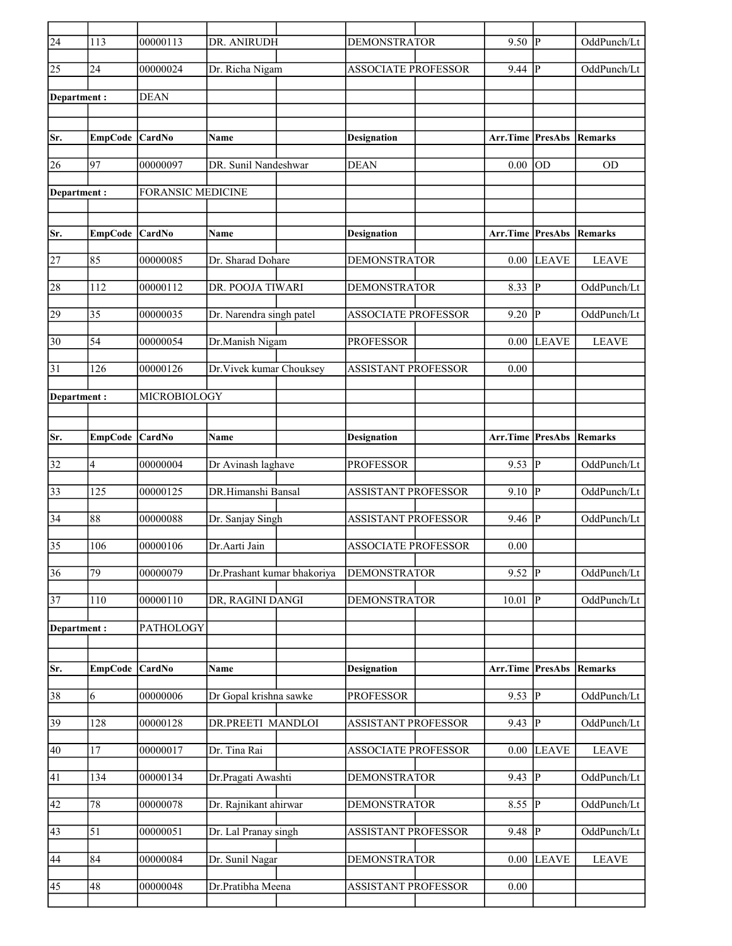| $\overline{24}$ | 113              | 00000113                 | DR. ANIRUDH                 | <b>DEMONSTRATOR</b>        | 9.50                            | lР                      | OddPunch/Lt    |
|-----------------|------------------|--------------------------|-----------------------------|----------------------------|---------------------------------|-------------------------|----------------|
| 25              | 24               | 00000024                 | Dr. Richa Nigam             | <b>ASSOCIATE PROFESSOR</b> | 9.44                            | lР                      | OddPunch/Lt    |
| Department :    |                  | <b>DEAN</b>              |                             |                            |                                 |                         |                |
|                 |                  |                          |                             |                            |                                 |                         |                |
| Sr.             | <b>EmpCode</b>   | CardNo                   | Name                        | <b>Designation</b>         | <b>Arr.Time PresAbs</b>         |                         | Remarks        |
| 26              | 97               | 00000097                 | DR. Sunil Nandeshwar        | <b>DEAN</b>                | 0.00                            | lod                     | <b>OD</b>      |
| Department:     |                  | <b>FORANSIC MEDICINE</b> |                             |                            |                                 |                         |                |
|                 |                  |                          |                             |                            |                                 |                         |                |
| Sr.             | EmpCode CardNo   |                          | <b>Name</b>                 | <b>Designation</b>         | <b>Arr.Time PresAbs Remarks</b> |                         |                |
| 27              | 85               | 00000085                 | Dr. Sharad Dohare           | <b>DEMONSTRATOR</b>        | 0.00                            | <b>LEAVE</b>            | <b>LEAVE</b>   |
| 28              | 112              | 00000112                 | DR. POOJA TIWARI            | <b>DEMONSTRATOR</b>        | 8.33                            | Þ                       | OddPunch/Lt    |
| 29              | $\overline{35}$  | 00000035                 | Dr. Narendra singh patel    | <b>ASSOCIATE PROFESSOR</b> | 9.20                            | $\overline{\mathbb{P}}$ | OddPunch/Lt    |
| 30              | 54               | 00000054                 | Dr.Manish Nigam             | <b>PROFESSOR</b>           | 0.00                            | <b>LEAVE</b>            | <b>LEAVE</b>   |
| 31              | 126              | 00000126                 | Dr. Vivek kumar Chouksey    | <b>ASSISTANT PROFESSOR</b> | 0.00                            |                         |                |
| Department :    |                  | MICROBIOLOGY             |                             |                            |                                 |                         |                |
|                 |                  |                          |                             |                            |                                 |                         |                |
| Sr.             | EmpCode CardNo   |                          | <b>Name</b>                 | <b>Designation</b>         | Arr.Time PresAbs                |                         | Remarks        |
| 32              | $\overline{4}$   | 00000004                 | Dr Avinash laghave          | <b>PROFESSOR</b>           | 9.53                            | lР                      | OddPunch/Lt    |
| 33              | 125              | 00000125                 | DR.Himanshi Bansal          | <b>ASSISTANT PROFESSOR</b> | 9.10                            | <sup> </sup> P          | OddPunch/Lt    |
| 34              | 88               | 00000088                 | Dr. Sanjay Singh            | <b>ASSISTANT PROFESSOR</b> | 9.46                            | lР                      | OddPunch/Lt    |
| 35              | 106              | 00000106                 | Dr.Aarti Jain               | <b>ASSOCIATE PROFESSOR</b> | 0.00                            |                         |                |
| 36              | $\overline{79}$  | 00000079                 | Dr.Prashant kumar bhakoriya | <b>DEMONSTRATOR</b>        | 9.52                            | $\overline{\mathbb{P}}$ | OddPunch/Lt    |
| 37              | $\overline{1}10$ | 00000110                 | DR, RAGINI DANGI            | <b>DEMONSTRATOR</b>        | 10.01                           | ∣P                      | OddPunch/Lt    |
| Department:     |                  | PATHOLOGY                |                             |                            |                                 |                         |                |
|                 |                  |                          |                             |                            |                                 |                         |                |
| Sr.             | <b>EmpCode</b>   | CardNo                   | Name                        | <b>Designation</b>         | Arr.Time                        | PresAbs                 | <b>Remarks</b> |
| 38              | 6                | 00000006                 | Dr Gopal krishna sawke      | <b>PROFESSOR</b>           | 9.53                            | $\overline{\mathbb{P}}$ | OddPunch/Lt    |
| $ 39\rangle$    | 128              | 00000128                 | DR.PREETI MANDLOI           | ASSISTANT PROFESSOR        | 9.43                            | $ {\bf P} $             | OddPunch/Lt    |
| 40              | 17               | 00000017                 | Dr. Tina Rai                | <b>ASSOCIATE PROFESSOR</b> | 0.00                            | <b>LEAVE</b>            | <b>LEAVE</b>   |
| 41              | 134              | 00000134                 | Dr.Pragati Awashti          | <b>DEMONSTRATOR</b>        | 9.43                            | $ {\bf p} $             | OddPunch/Lt    |
| 42              | $78\,$           | 00000078                 | Dr. Rajnikant ahirwar       | DEMONSTRATOR               | 8.55                            | ∣P                      | OddPunch/Lt    |
| 43              | 51               | 00000051                 | Dr. Lal Pranay singh        | ASSISTANT PROFESSOR        | 9.48                            | $\overline{\mathbb{P}}$ | OddPunch/Lt    |
| 44              | 84               | 00000084                 | Dr. Sunil Nagar             | <b>DEMONSTRATOR</b>        | $0.00\,$                        | <b>LEAVE</b>            | <b>LEAVE</b>   |
| 45              | 48               | 00000048                 | Dr.Pratibha Meena           | <b>ASSISTANT PROFESSOR</b> | 0.00                            |                         |                |
|                 |                  |                          |                             |                            |                                 |                         |                |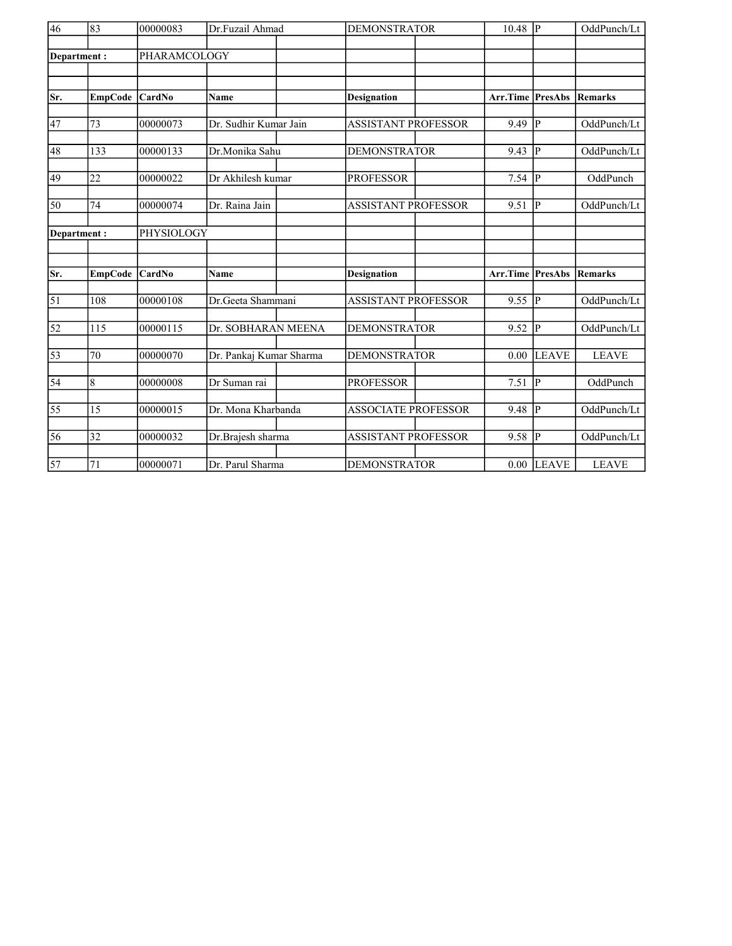| $\overline{46}$ | 83             | 00000083     | Dr.Fuzail Ahmad         | <b>DEMONSTRATOR</b>        | 10.48    | P              | OddPunch/Lt    |
|-----------------|----------------|--------------|-------------------------|----------------------------|----------|----------------|----------------|
| Department:     |                | PHARAMCOLOGY |                         |                            |          |                |                |
|                 |                |              |                         |                            |          |                |                |
|                 |                |              |                         |                            |          |                |                |
| Sr.             | <b>EmpCode</b> | CardNo       | Name                    | <b>Designation</b>         | Arr.Time | <b>PresAbs</b> | Remarks        |
|                 |                |              |                         |                            |          |                |                |
| 47              | 73             | 00000073     | Dr. Sudhir Kumar Jain   | <b>ASSISTANT PROFESSOR</b> | 9.49     | lр             | OddPunch/Lt    |
| 48              | 133            | 00000133     | Dr.Monika Sahu          | <b>DEMONSTRATOR</b>        | 9.43     | lр             | OddPunch/Lt    |
|                 |                |              |                         |                            |          |                |                |
| 49              | 22             | 00000022     | Dr Akhilesh kumar       | <b>PROFESSOR</b>           | 7.54     | P              | OddPunch       |
| 50              | 74             | 00000074     | Dr. Raina Jain          | <b>ASSISTANT PROFESSOR</b> | 9.51     | IР             | OddPunch/Lt    |
|                 |                | PHYSIOLOGY   |                         |                            |          |                |                |
| Department:     |                |              |                         |                            |          |                |                |
|                 |                |              |                         |                            |          |                |                |
| Sr.             | <b>EmpCode</b> | CardNo       | <b>Name</b>             | <b>Designation</b>         | Arr.Time | PresAbs        | <b>Remarks</b> |
| $\overline{51}$ | 108            | 00000108     | Dr.Geeta Shammani       | <b>ASSISTANT PROFESSOR</b> | 9.55     | P              | OddPunch/Lt    |
|                 |                |              |                         |                            |          |                |                |
| $\overline{52}$ | 115            | 00000115     | Dr. SOBHARAN MEENA      | <b>DEMONSTRATOR</b>        | 9.52     | p              | OddPunch/Lt    |
|                 |                |              |                         |                            |          |                |                |
| $\overline{53}$ | 70             | 00000070     | Dr. Pankaj Kumar Sharma | <b>DEMONSTRATOR</b>        | 0.00     | LEAVE          | <b>LEAVE</b>   |
| $\sqrt{54}$     | $\vert 8$      | 00000008     | Dr Suman rai            | <b>PROFESSOR</b>           | 7.51     | p              | OddPunch       |
|                 |                |              |                         |                            |          |                |                |
| 55              | 15             | 00000015     | Dr. Mona Kharbanda      | <b>ASSOCIATE PROFESSOR</b> | 9.48     | p              | OddPunch/Lt    |
| 56              | 32             | 00000032     | Dr.Brajesh sharma       | <b>ASSISTANT PROFESSOR</b> | 9.58     | lр             | OddPunch/Lt    |
|                 |                |              |                         |                            |          |                |                |
| $\overline{57}$ | 71             | 00000071     | Dr. Parul Sharma        | <b>DEMONSTRATOR</b>        |          | $0.00$ LEAVE   | <b>LEAVE</b>   |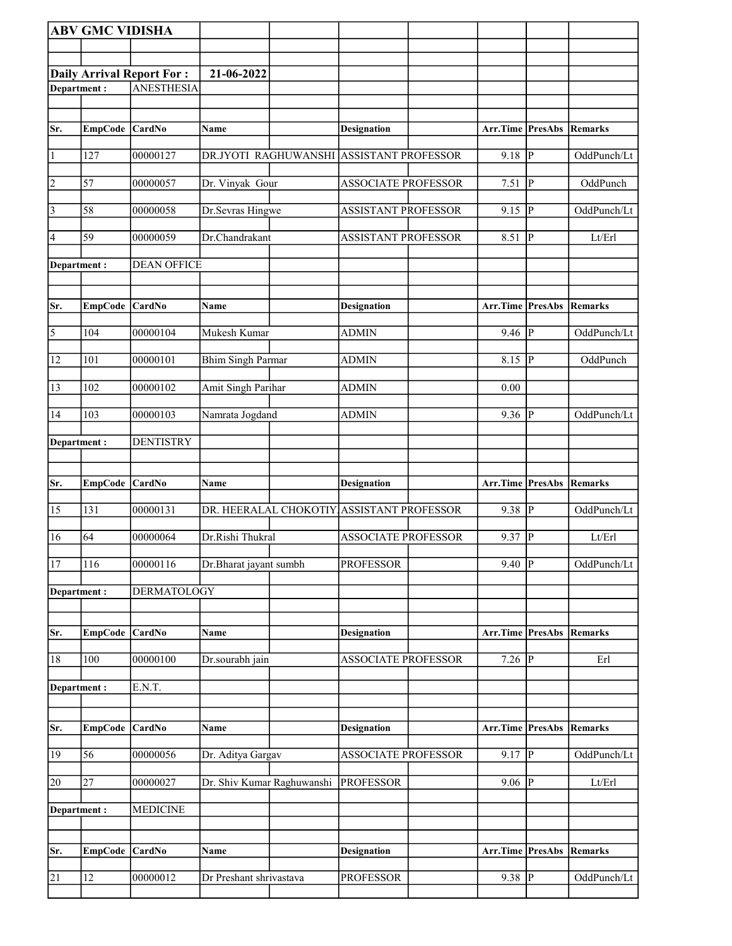|                | <b>ABV GMC VIDISHA</b> |                                  |                            |                                           |                     |                         |                |
|----------------|------------------------|----------------------------------|----------------------------|-------------------------------------------|---------------------|-------------------------|----------------|
|                |                        |                                  |                            |                                           |                     |                         |                |
|                |                        | <b>Daily Arrival Report For:</b> | 21-06-2022                 |                                           |                     |                         |                |
| Department:    |                        | <b>ANESTHESIA</b>                |                            |                                           |                     |                         |                |
|                |                        |                                  |                            |                                           |                     |                         |                |
| Sr.            | <b>EmpCode</b>         | <b>CardNo</b>                    | Name                       | <b>Designation</b>                        | Arr.Time PresAbs    |                         | Remarks        |
|                |                        |                                  |                            |                                           |                     |                         |                |
| $\vert$ 1      | 127                    | 00000127                         |                            | DR.JYOTI RAGHUWANSHI ASSISTANT PROFESSOR  | 9.18                | $ {\bf p} $             | OddPunch/Lt    |
| $\overline{2}$ | 57                     | 00000057                         | Dr. Vinyak Gour            | <b>ASSOCIATE PROFESSOR</b>                | 7.51                | P                       | OddPunch       |
| $\vert$ 3      | 58                     | 00000058                         | Dr.Sevras Hingwe           | <b>ASSISTANT PROFESSOR</b>                | 9.15                | P                       | OddPunch/Lt    |
| 4              | 59                     | 00000059                         | Dr.Chandrakant             | <b>ASSISTANT PROFESSOR</b>                | 8.51                | $ {\bf P} $             | Lt/Erl         |
| Department :   |                        | <b>DEAN OFFICE</b>               |                            |                                           |                     |                         |                |
|                |                        |                                  |                            |                                           |                     |                         |                |
| Sr.            | <b>EmpCode</b>         | CardNo                           | Name                       | <b>Designation</b>                        | Arr.Time PresAbs    |                         | Remarks        |
|                |                        |                                  |                            |                                           |                     |                         |                |
| $\overline{5}$ | 104                    | 00000104                         | Mukesh Kumar               | <b>ADMIN</b>                              | $9.46$ P            |                         | OddPunch/Lt    |
| 12             | 101                    | 00000101                         | <b>Bhim Singh Parmar</b>   | <b>ADMIN</b>                              | 8.15                | <sup>1</sup> P          | OddPunch       |
| 13             | 102                    | 00000102                         | Amit Singh Parihar         | ADMIN                                     | $0.00\,$            |                         |                |
| 14             | 103                    | 00000103                         | Namrata Jogdand            | <b>ADMIN</b>                              | 9.36                | P                       | OddPunch/Lt    |
| Department :   |                        | <b>DENTISTRY</b>                 |                            |                                           |                     |                         |                |
|                |                        |                                  |                            |                                           |                     |                         |                |
| Sr.            | <b>EmpCode</b>         | CardNo                           | Name                       | <b>Designation</b>                        | Arr.Time PresAbs    |                         | Remarks        |
|                |                        |                                  |                            |                                           |                     |                         |                |
| 15             | 131                    | 00000131                         |                            | DR. HEERALAL CHOKOTIY ASSISTANT PROFESSOR | 9.38                | P                       | OddPunch/Lt    |
| 16             | 64                     | 00000064                         | Dr.Rishi Thukral           | <b>ASSOCIATE PROFESSOR</b>                | 9.37                | $\overline{\mathbf{P}}$ | Lt/Erl         |
| <sup>17</sup>  | 116                    | 00000116                         | Dr.Bharat jayant sumbh     | <b>PROFESSOR</b>                          | $9.40$ P            |                         | OddPunch/Lt    |
| Department:    |                        | <b>DERMATOLOGY</b>               |                            |                                           |                     |                         |                |
|                |                        |                                  |                            |                                           |                     |                         |                |
| Sr.            | <b>EmpCode</b>         | CardNo                           | Name                       | <b>Designation</b>                        | Arr.Time PresAbs    |                         | <b>Remarks</b> |
| 18             | 100                    | 00000100                         | Dr.sourabh jain            | <b>ASSOCIATE PROFESSOR</b>                | $7.26$ P            |                         | Erl            |
| Department:    |                        | E.N.T.                           |                            |                                           |                     |                         |                |
|                |                        |                                  |                            |                                           |                     |                         |                |
|                |                        |                                  |                            |                                           |                     |                         |                |
| Sr.            | <b>EmpCode</b>         | <b>CardNo</b>                    | Name                       | <b>Designation</b>                        | Arr.Time PresAbs    |                         | <b>Remarks</b> |
| 19             | 56                     | 00000056                         | Dr. Aditya Gargav          | ASSOCIATE PROFESSOR                       | $9.17 \overline{P}$ |                         | OddPunch/Lt    |
| 20             | 27                     | 00000027                         | Dr. Shiv Kumar Raghuwanshi | <b>PROFESSOR</b>                          | 9.06                | P                       | Lt/Erl         |
| Department:    |                        | <b>MEDICINE</b>                  |                            |                                           |                     |                         |                |
|                |                        |                                  |                            |                                           |                     |                         |                |
|                |                        |                                  |                            |                                           |                     |                         |                |
| Sr.            | <b>EmpCode</b>         | CardNo                           | Name                       | <b>Designation</b>                        | Arr.Time PresAbs    |                         | <b>Remarks</b> |
|                |                        |                                  |                            |                                           |                     |                         |                |
| 21             | 12                     | 00000012                         | Dr Preshant shrivastava    | <b>PROFESSOR</b>                          | $9.38$ P            |                         | OddPunch/Lt    |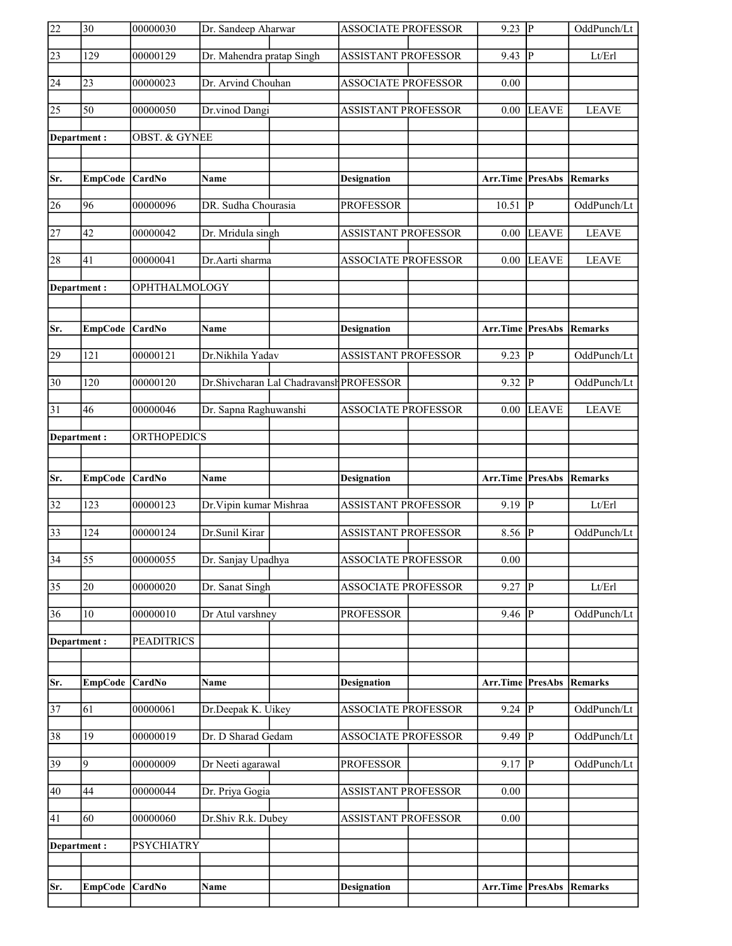| Lt/Erl                             |
|------------------------------------|
|                                    |
|                                    |
| <b>LEAVE</b><br><b>LEAVE</b>       |
|                                    |
|                                    |
| Arr.Time PresAbs<br>Remarks        |
| OddPunch/Lt                        |
| <b>LEAVE</b><br><b>LEAVE</b>       |
|                                    |
| <b>LEAVE</b><br><b>LEAVE</b>       |
|                                    |
|                                    |
| Arr.Time PresAbs<br>Remarks        |
| OddPunch/Lt                        |
| OddPunch/Lt                        |
| <b>LEAVE</b><br><b>LEAVE</b>       |
|                                    |
|                                    |
| Arr.Time PresAbs<br><b>Remarks</b> |
| Lt/Erl                             |
| OddPunch/Lt                        |
|                                    |
| Lt/Erl                             |
| OddPunch/Lt                        |
|                                    |
|                                    |
| PresAbs<br>Remarks                 |
| OddPunch/Lt                        |
| OddPunch/Lt                        |
| OddPunch/Lt                        |
|                                    |
|                                    |
|                                    |
|                                    |
|                                    |